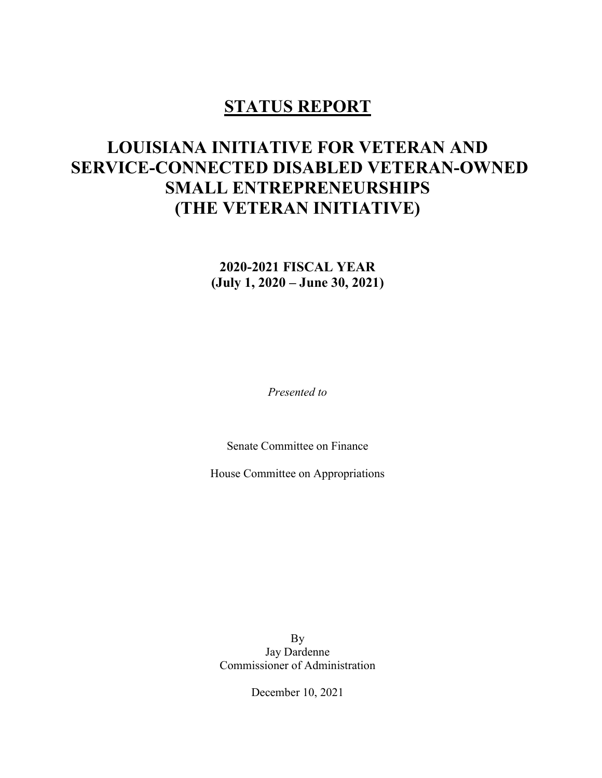# STATUS REPORT

# LOUISIANA INITIATIVE FOR VETERAN AND SERVICE-CONNECTED DISABLED VETERAN-OWNED SMALL ENTREPRENEURSHIPS (THE VETERAN INITIATIVE)

# 2020-2021 FISCAL YEAR (July 1, 2020 – June 30, 2021)

Presented to

Senate Committee on Finance

House Committee on Appropriations

By Jay Dardenne Commissioner of Administration

December 10, 2021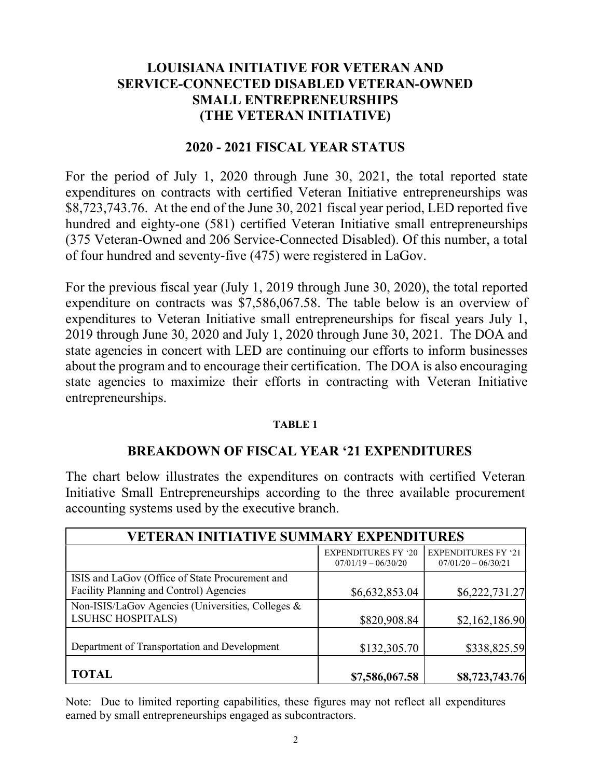# LOUISIANA INITIATIVE FOR VETERAN AND SERVICE-CONNECTED DISABLED VETERAN-OWNED SMALL ENTREPRENEURSHIPS (THE VETERAN INITIATIVE)

### 2020 - 2021 FISCAL YEAR STATUS

For the period of July 1, 2020 through June 30, 2021, the total reported state expenditures on contracts with certified Veteran Initiative entrepreneurships was \$8,723,743.76. At the end of the June 30, 2021 fiscal year period, LED reported five hundred and eighty-one (581) certified Veteran Initiative small entrepreneurships (375 Veteran-Owned and 206 Service-Connected Disabled). Of this number, a total of four hundred and seventy-five (475) were registered in LaGov.

For the previous fiscal year (July 1, 2019 through June 30, 2020), the total reported expenditure on contracts was \$7,586,067.58. The table below is an overview of expenditures to Veteran Initiative small entrepreneurships for fiscal years July 1, 2019 through June 30, 2020 and July 1, 2020 through June 30, 2021. The DOA and state agencies in concert with LED are continuing our efforts to inform businesses about the program and to encourage their certification. The DOA is also encouraging state agencies to maximize their efforts in contracting with Veteran Initiative entrepreneurships.

#### TABLE 1

## BREAKDOWN OF FISCAL YEAR '21 EXPENDITURES

The chart below illustrates the expenditures on contracts with certified Veteran Initiative Small Entrepreneurships according to the three available procurement accounting systems used by the executive branch.

| <b>VETERAN INITIATIVE SUMMARY EXPENDITURES</b>                                             |                                                     |                                                     |  |  |  |  |  |
|--------------------------------------------------------------------------------------------|-----------------------------------------------------|-----------------------------------------------------|--|--|--|--|--|
|                                                                                            | <b>EXPENDITURES FY '20</b><br>$07/01/19 - 06/30/20$ | <b>EXPENDITURES FY '21</b><br>$07/01/20 - 06/30/21$ |  |  |  |  |  |
| ISIS and LaGov (Office of State Procurement and<br>Facility Planning and Control) Agencies | \$6,632,853.04                                      | \$6,222,731.27                                      |  |  |  |  |  |
| Non-ISIS/LaGov Agencies (Universities, Colleges &<br><b>LSUHSC HOSPITALS)</b>              | \$820,908.84                                        | \$2,162,186.90                                      |  |  |  |  |  |
| Department of Transportation and Development                                               | \$132,305.70                                        | \$338,825.59                                        |  |  |  |  |  |
| <b>TOTAL</b>                                                                               | \$7,586,067.58                                      | \$8,723,743.76                                      |  |  |  |  |  |

Note: Due to limited reporting capabilities, these figures may not reflect all expenditures earned by small entrepreneurships engaged as subcontractors.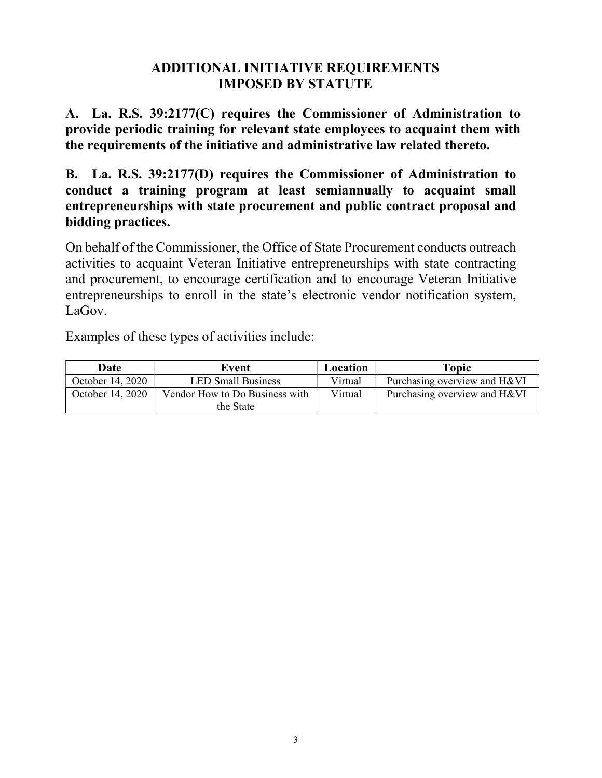## ADDITIONAL INITIATIVE REQUIREMENTS IMPOSED BY STATUTE

A. La. R.S. 39:2177(C) requires the Commissioner of Administration to provide periodic training for relevant state employees to acquaint them with the requirements of the initiative and administrative law related thereto.

B. La. R.S. 39:2177(D) requires the Commissioner of Administration to conduct a training program at least semiannually to acquaint small entrepreneurships with state procurement and public contract proposal and bidding practices.

On behalf of the Commissioner, the Office of State Procurement conducts outreach activities to acquaint Veteran Initiative entrepreneurships with state contracting and procurement, to encourage certification and to encourage Veteran Initiative entrepreneurships to enroll in the state's electronic vendor notification system, LaGov.

Examples of these types of activities include:

| Date             | Event                          | Location | <b>Topic</b>                 |
|------------------|--------------------------------|----------|------------------------------|
| October 14, 2020 | <b>LED Small Business</b>      | Virtual  | Purchasing overview and H&VI |
| October 14, 2020 | Vendor How to Do Business with | Virtual  | Purchasing overview and H&VI |
|                  | the State                      |          |                              |